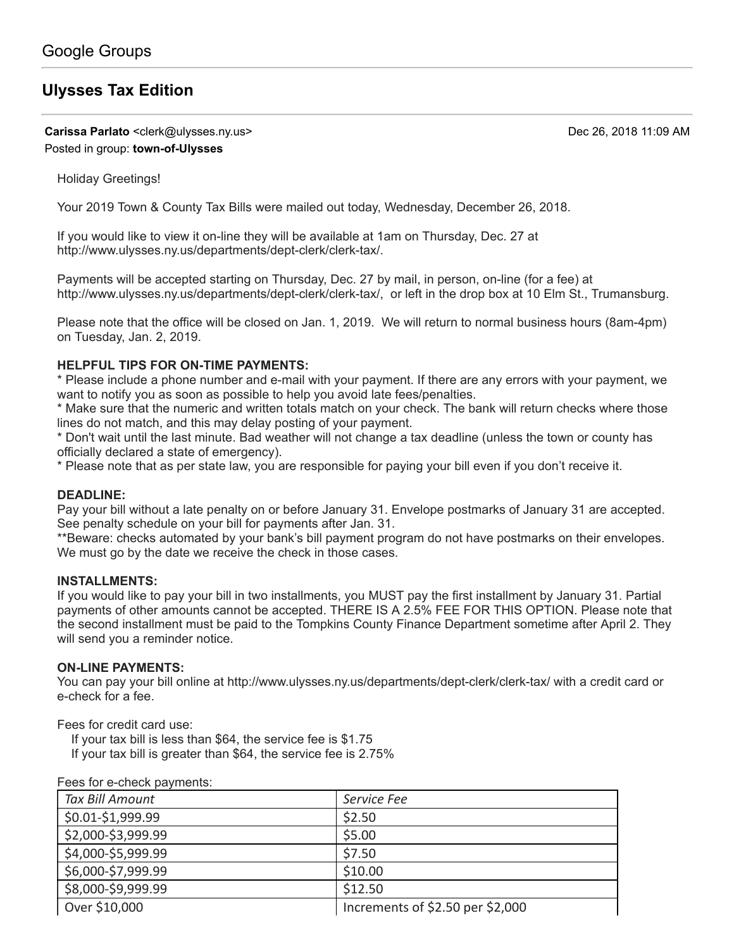# **[Ulysses Tax Edition](https://groups.google.com/d/topic/town-of-ulysses/nNky9XfALxI)**

**Carissa Parlato** <clerk@ulysses.ny.us> Dec 26, 2018 11:09 AM Posted in group: **[town-of-Ulysses](https://groups.google.com/d/forum/town-of-ulysses)**

Holiday Greetings!

Your 2019 Town & County Tax Bills were mailed out today, Wednesday, December 26, 2018.

If you would like to view it on-line they will be available at 1am on Thursday, Dec. 27 at [http://www.ulysses.ny.us/departments/dept-clerk/clerk-tax/.](http://www.ulysses.ny.us/departments/dept-clerk/clerk-tax/)

Payments will be accepted starting on Thursday, Dec. 27 by mail, in person, on-line (for a fee) at <http://www.ulysses.ny.us/departments/dept-clerk/clerk-tax/,> or left in the drop box at 10 Elm St., Trumansburg.

Please note that the office will be closed on Jan. 1, 2019. We will return to normal business hours (8am-4pm) on Tuesday, Jan. 2, 2019.

# **HELPFUL TIPS FOR ON-TIME PAYMENTS:**

\* Please include a phone number and e-mail with your payment. If there are any errors with your payment, we want to notify you as soon as possible to help you avoid late fees/penalties.

\* Make sure that the numeric and written totals match on your check. The bank will return checks where those lines do not match, and this may delay posting of your payment.

\* Don't wait until the last minute. Bad weather will not change a tax deadline (unless the town or county has officially declared a state of emergency).

\* Please note that as per state law, you are responsible for paying your bill even if you don't receive it.

## **DEADLINE:**

Pay your bill without a late penalty on or before January 31. Envelope postmarks of January 31 are accepted. See penalty schedule on your bill for payments after Jan. 31.

\*\*Beware: checks automated by your bank's bill payment program do not have postmarks on their envelopes. We must go by the date we receive the check in those cases.

#### **INSTALLMENTS:**

If you would like to pay your bill in two installments, you MUST pay the first installment by January 31. Partial payments of other amounts cannot be accepted. THERE IS A 2.5% FEE FOR THIS OPTION. Please note that the second installment must be paid to the Tompkins County Finance Department sometime after April 2. They will send you a reminder notice.

## **ON-LINE PAYMENTS:**

You can pay your bill online at <http://www.ulysses.ny.us/departments/dept-clerk/clerk-tax/>with a credit card or e-check for a fee.

Fees for credit card use:

If your tax bill is less than \$64, the service fee is \$1.75

If your tax bill is greater than \$64, the service fee is 2.75%

| <b>I</b> cas for concern payments. |                                  |
|------------------------------------|----------------------------------|
| <b>Tax Bill Amount</b>             | Service Fee                      |
| \$0.01-\$1,999.99                  | \$2.50                           |
| \$2,000-\$3,999.99                 | \$5.00                           |
| \$4,000-\$5,999.99                 | \$7.50                           |
| \$6,000-\$7,999.99                 | \$10.00                          |
| \$8,000-\$9,999.99                 | \$12.50                          |
| Over \$10,000                      | Increments of \$2.50 per \$2,000 |

Fees for e-check payments: